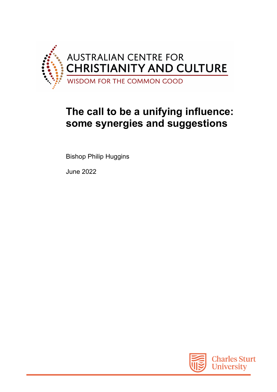

## **The call to be a unifying influence: some synergies and suggestions**

Bishop Philip Huggins

June 2022

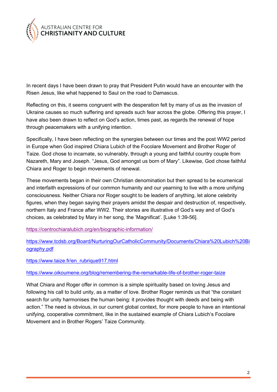

In recent days I have been drawn to pray that President Putin would have an encounter with the Risen Jesus, like what happened to Saul on the road to Damascus.

Reflecting on this, it seems congruent with the desperation felt by many of us as the invasion of Ukraine causes so much suffering and spreads such fear across the globe. Offering this prayer, I have also been drawn to reflect on God's action, times past, as regards the renewal of hope through peacemakers with a unifying intention.

Specifically, I have been reflecting on the synergies between our times and the post WW2 period in Europe when God inspired Chiara Lubich of the Focolare Movement and Brother Roger of Taize. God chose to incarnate, so vulnerably, through a young and faithful country couple from Nazareth, Mary and Joseph. "Jesus, God amongst us born of Mary". Likewise, God chose faithful Chiara and Roger to begin movements of renewal.

These movements began in their own Christian denomination but then spread to be ecumenical and interfaith expressions of our common humanity and our yearning to live with a more unifying consciousness. Neither Chiara nor Roger sought to be leaders of anything, let alone celebrity figures, when they began saying their prayers amidst the despair and destruction of, respectively, northern Italy and France after WW2. Their stories are illustrative of God's way and of God's choices, as celebrated by Mary in her song, the 'Magnificat'. [Luke 1:39-56].

https://centrochiaralubich.org/en/biographic-information/

https://www.tcdsb.org/Board/NurturingOurCatholicCommunity/Documents/Chiara%20Lubich%20Bi ography.pdf

https://www.taize.fr/en\_rubrique917.html

## https://www.oikoumene.org/blog/remembering-the-remarkable-life-of-brother-roger-taize

What Chiara and Roger offer in common is a simple spirituality based on loving Jesus and following his call to build unity, as a matter of love. Brother Roger reminds us that "the constant search for unity harmonises the human being: it provides thought with deeds and being with action." The need is obvious, in our current global context, for more people to have an intentional unifying, cooperative commitment, like in the sustained example of Chiara Lubich's Focolare Movement and in Brother Rogers' Taize Community.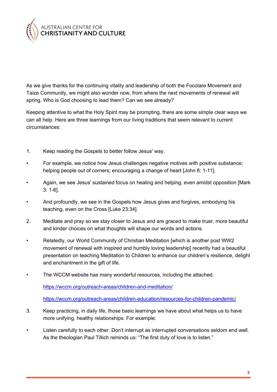

As we give thanks for the continuing vitality and leadership of both the Focolare Movement and Taize Community, we might also wonder now, from where the next movements of renewal will spring. Who is God choosing to lead them? Can we see already?

Keeping attentive to what the Holy Spirit may be prompting, there are some simple clear ways we can all help. Here are three learnings from our living traditions that seem relevant to current circumstances:

- 1. Keep reading the Gospels to better follow Jesus' way.
- For example, we notice how Jesus challenges negative motives with positive substance; helping people out of corners; encouraging a change of heart [John 8: 1-11].
- Again, we see Jesus' sustained focus on healing and helping, even amidst opposition [Mark 3: 1-6].
- And profoundly, we see in the Gospels how Jesus gives and forgives, embodying his teaching, even on the Cross [Luke 23:34].
- 2. Meditate and pray so we stay closer to Jesus and are graced to make truer, more beautiful and kinder choices on what thoughts will shape our words and actions.
- Relatedly, our World Community of Christian Meditation [which is another post WW2 movement of renewal with inspired and humbly loving leadership] recently had a beautiful presentation on teaching Meditation to Children to enhance our children's resilience, delight and enchantment in the gift of life.
- The WCCM website has many wonderful resources, including the attached.

https://wccm.org/outreach-areas/children-and-meditation/

https://wccm.org/outreach-areas/children-education/resources-for-children-pandemic/

- 3. Keep practicing, in daily life, those basic learnings we have about what helps us to have more unifying, healthy relationships. For example:
- Listen carefully to each other. Don't interrupt as interrupted conversations seldom end well. As the theologian Paul Tillich reminds us: "The first duty of love is to listen."